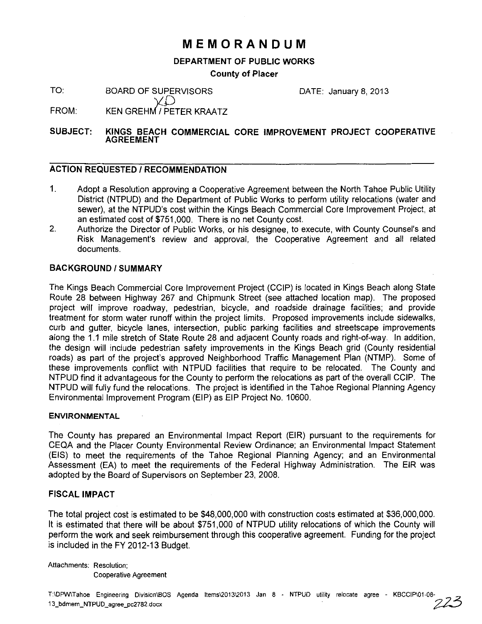# **MEMORANDUM**

## DEPARTMENT OF PUBLIC WORKS

### County of Placer

TO: BOARD OF SUPERVISORS

DATE: January 8, 2013

FROM: KEN GREHM / PETER KRAATZ

#### SUBJECT: KINGS BEACH COMMERCIAL CORE IMPROVEMENT PROJECT COOPERATIVE AGREEMENT

## ACTION REQUESTED / RECOMMENDATION

- 1. Adopt a Resolution approving a Cooperative Agreement between the North Tahoe Public Utility District (NTPUD) and the Department of Public Works to perform utility relocations (water and sewer), at the NTPUD's cost within the Kings Beach Commercial Core Improvement Project, at an estimated cost of \$751 ,000. There is no net County cost.
- 2. Authorize the Director of Public Works, or his designee, to execute, with County Counsel's and Risk Management's review and approval, the Cooperative Agreement and all related documents.

## BACKGROUND/SUMMARY

The Kings Beach Commercial Core Improvement Project (CCIP) is located in Kings Beach along State Route 28 between Highway 267 and Chipmunk Street (see attached location map). The proposed project will improve roadway, pedestrian, bicycle, and roadside drainage facilities; and provide treatment for storm water runoff within the project limits. Proposed improvements include sidewalks, curb and gutter, bicycle lanes, intersection, public parking facilities and streetscape improvements along the 1.1 mile stretch of State Route 28 and adjacent County roads and right-of-way. In addition, the design will include pedestrian safety improvements in the Kings Beach grid (County residential roads) as part of the project's approved Neighborhood Traffic Management Plan (NTMP). Some of these improvements conflict with NTPUD facilities that require to be relocated. The County and NTPUD find it advantageous for the County to perform the relocations as part of the overall CCIP. The NTPUD will fully fund the relocations. The project is identified in the Tahoe Regional Planning Agency Environmental Improvement Program (EIP) as EIP Project No. 10600.

#### ENVIRONMENTAL

The County has prepared an Environmental Impact Report (EIR) pursuant to the requirements for CEQA and the Placer County Environmental Review Ordinance; an Environmental Impact Statement (EIS) to meet the requirements of the Tahoe Regional Planning Agency; and an Environmental Assessment (EA) to meet the requirements of the Federal Highway Administration. The EIR was adopted by the Board of Supervisors on September 23, 2008.

## FISCAL IMPACT

The total project cost is estimated to be \$48,000,000 with construction costs estimated at \$36,000,000. It is estimated that there will be about \$751,000 of NTPUD utility relocations of which the County will perform the work and seek reimbursement through this cooperative agreement. Funding for the project is included in the FY 2012-13 Budget.

Attachments: Resolution; Cooperative Agreement

T:\OPw\Tahoe Engineering Division\BOS Agenda Items\2013\2013 Jan 8 - NTPUD utility relocate agree - KBCCIP\01-08-/7?';;; T:\DPW\Tahoe Engineering Division\BOS Agenda Items\2013\2013 Jan 8 - NTPUD utility relocate agree - KBCCIP\01-08-<br>13\_bdmem\_NTPUD\_agree\_pc2782.docx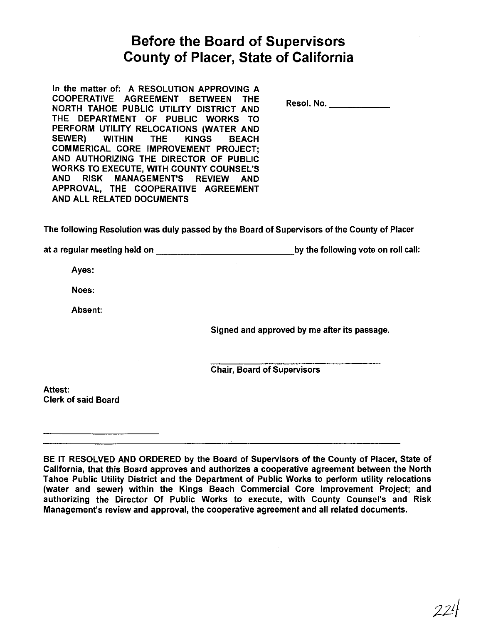# **Before the Board of Supervisors County of Placer, State of California**

In the matter of: A RESOLUTION APPROVING A COOPERATIVE AGREEMENT BETWEEN THE NORTH TAHOE PUBLIC UTILITY DISTRICT AND THE DEPARTMENT OF PUBLIC WORKS TO PERFORM UTILITY RELOCATIONS (WATER AND SEWER) WITHIN THE KINGS BEACH COMMERICAL CORE IMPROVEMENT PROJECT; AND AUTHORIZING THE DIRECTOR OF PUBLIC WORKS TO EXECUTE, WITH COUNTY COUNSEL'S AND RISK MANAGEMENT'S REVIEW AND APPROVAL, THE COOPERATIVE AGREEMENT AND ALL RELATED DOCUMENTS

Resol. No. \_\_\_\_\_\_\_\_\_\_

The following Resolution was duly passed by the Board of Supervisors of the County of Placer

at a regular meeting held on \_\_\_\_\_\_\_\_\_\_\_\_ ,by the following vote on roll call:

Ayes:

Noes:

Absent:

Signed and approved by me after its passage.

Chair, Board of Supervisors

Attest: Clerk of said Board

BE IT RESOLVED AND ORDERED by the Board of Supervisors of the County of Placer, State of California, that this Board approves and authorizes a cooperative agreement between the North Tahoe Public Utility District and the Department of Public Works to perform utility relocations (water and sewer) within the Kings Beach Commercial Core Improvement Project; and authorizing the Director Of Public Works to execute, with County Counsel's and Risk Management's review and approval, the cooperative agreement and all related documents.

 $774$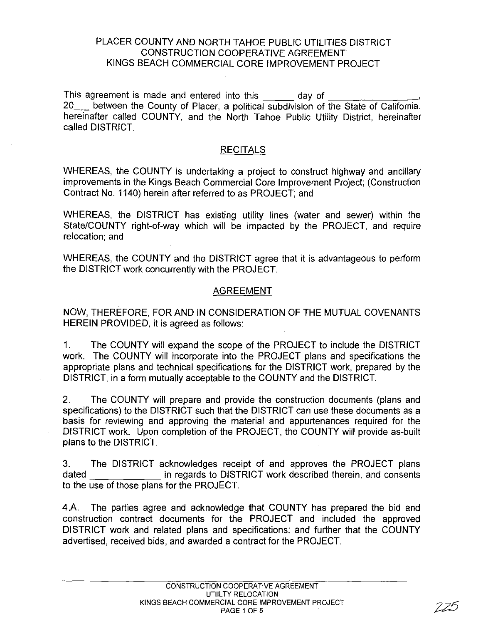## PLACER COUNTY AND NORTH TAHOE PUBLIC UTILITIES DISTRICT CONSTRUCTION COOPERATIVE AGREEMENT KINGS BEACH COMMERCIAL CORE IMPROVEMENT PROJECT

This agreement is made and entered into this day of 20\_ between the County of Placer, a political subdivision of the State of California, hereinafter called COUNTY, and the North Tahoe Public Utility District, hereinafter called DISTRICT.

## **RECITALS**

WHEREAS, the COUNTY is undertaking a project to construct highway and ancillary improvements in the Kings Beach Commercial Core Improvement Project; (Construction Contract No. 1140) herein after referred to as PROJECT; and

WHEREAS, the DISTRICT has existing utility lines (water and sewer) within the State/COUNTY right-of-way which will be impacted by the PROJECT, and require relocation; and

WHEREAS, the COUNTY and the DISTRICT agree that it is advantageous to perform the DISTRICT work concurrently with the PROJECT.

## AGREEMENT

NOW, THEREFORE, FOR AND IN CONSIDERATION OF THE MUTUAL COVENANTS HEREIN PROVIDED, it is agreed as follows:

1. The COUNTY will expand the scope of the PROJECT to include the DISTRICT work. The COUNTY will incorporate into the PROJECT plans and specifications the appropriate plans and technical specifications for the DISTRICT work, prepared by the DISTRICT, in a form mutually acceptable to the COUNTY and the DISTRICT.

2. The COUNTY will prepare and provide the construction documents (plans and specifications) to the DISTRICT such that the DISTRICT can use these documents as a basis for reviewing and approving the material and appurtenances required for the DISTRICT work. Upon completion of the PROJECT, the COUNTY will provide as-built plans to the DISTRICT.

3. The DISTRICT acknowledges receipt of and approves the PROJECT plans dated in regards to DISTRICT work described therein, and consents to the use of those plans for the PROJECT.

4.A. The parties agree and acknowledge that COUNTY has prepared the bid and construction contract documents for the PROJECT and included the approved DISTRICT work and related plans and specifications; and further that the COUNTY advertised, received bids, and awarded a contract for the PROJECT.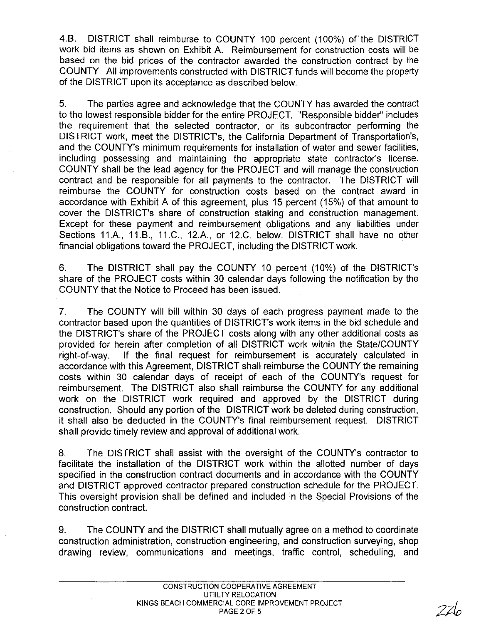4.B. DISTRICT shall reimburse to COUNTY 100 percent (100%) of the DISTRICT work bid items as shown on Exhibit A. Reimbursement for construction costs will be based on the bid prices of the contractor awarded the construction contract by the COUNTY. All improvements constructed with DISTRICT funds will become the property of the DISTRICT upon its acceptance as described below.

5. The parties agree and acknowledge that the COUNTY has awarded the contract to the lowest responsible bidder for the entire PROJECT. "Responsible bidder" includes the requirement that the selected contractor, or its subcontractor performing the DISTRICT work, meet the DISTRICT's, the California Department of Transportation's, and the COUNTY's minimum requirements for installation of water and sewer facilities, including possessing and maintaining the appropriate state contractor's license. COUNTY shall be the lead agency for the PROJECT and will manage the construction contract and be responsible for all payments to the contractor. The DISTRICT will reimburse the COUNTY for construction costs based on the contract award in accordance with Exhibit A of this agreement, plus 15 percent (15%) of that amount to cover the DISTRICT's share of construction staking and construction management. Except for these payment and reimbursement obligations and any liabilities under Sections 11.A., 11.B., 11.C., 12.A., or 12.C. below, DISTRICT shall have no other financial obligations toward the PROJECT, including the DISTRICT work.

6. The DISTRICT shall pay the COUNTY 10 percent (10%) of the DISTRICT's share of the PROJECT costs within 30 calendar days following the notification by the COUNTY that the Notice to Proceed has been issued.

7. The COUNTY will bill within 30 days of each progress payment made to the contractor based upon the quantities of DISTRICT's work items in the bid schedule and the DISTRICT's share of the PROJECT costs along with any other additional costs as provided for herein after completion of all DISTRICT work within the State/COUNTY right-of-way. If the final request for reimbursement is accurately calculated in accordance with this Agreement, DISTRICT shall reimburse the COUNTY the remaining costs within 30 calendar days of receipt of each of the COUNTY's request for reimbursement. The DISTRICT also shall reimburse the COUNTY for any additional work on the DISTRICT work required and approved by the DISTRICT during construction. Should any portion of the DISTRICT work be deleted during construction, it shall also be deducted in the COUNTY's final reimbursement request. DISTRICT shall provide timely review and approval of additional work.

8. The DISTRICT shall assist with the oversight of the COUNTY's contractor to facilitate the installation of the DISTRICT work within the allotted number of days specified in the construction contract documents and in accordance with the COUNTY and DISTRICT approved contractor prepared construction schedule for the PROJECT. This oversight provision shall be defined and included in the Special Provisions of the construction contract.

9. The COUNTY and the DISTRICT shall mutually agree on a method to coordinate construction administration, construction engineering, and construction surveying, shop drawing review, communications and meetings, traffic control, scheduling, and

226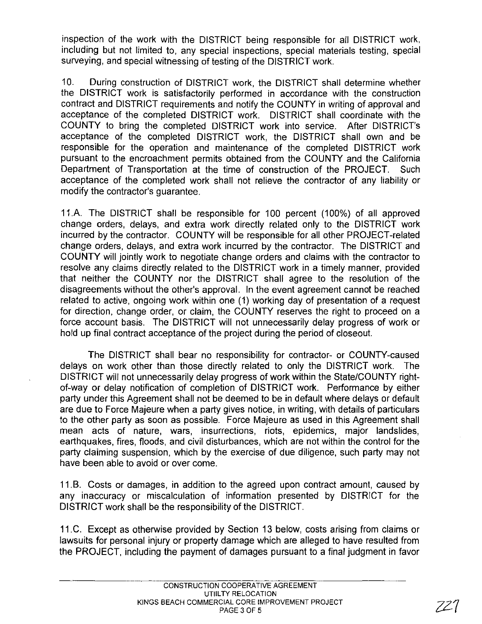inspection of the work with the DISTRICT being responsible for all DISTRICT work, including but not limited to, any special inspections, special materials testing, special surveying, and special witnessing of testing of the DISTRICT work.

10. During construction of DISTRICT work, the DISTRICT shall determine whether the DISTRICT work is satisfactorily performed in accordance with the construction contract and DISTRICT requirements and notify the COUNTY in writing of approval and acceptance of the completed DISTRICT work. DISTRICT shall coordinate with the COUNTY to bring the completed DISTRICT work into service. After DISTRICT's acceptance of the completed DISTRICT work, the DISTRICT shall own and be responsible for the operation and maintenance of the completed DISTRICT work pursuant to the encroachment permits obtained from the COUNTY and the California Department of Transportation at the time of construction of the PROJECT. Such acceptance of the completed work shall not relieve the contractor of any liability or modify the contractor's guarantee.

11.A. The DISTRICT shall be responsible for 100 percent (100%) of all approved change orders, delays, and extra work directly related only to the DISTRICT work incurred by the contractor. COUNTY will be responsible for all other PROJECT-related change orders, delays, and extra work incurred by the contractor. The DISTRICT and COUNTY will jointly work to negotiate change orders and claims with the contractor to resolve any claims directly related to the DISTRICT work in a timely manner, provided that neither the COUNTY nor the DISTRICT shall agree to the resolution of the disagreements without the other's approval. In the event agreement cannot be reached related to active, ongoing work within one (1) working day of presentation of a request for direction, change order, or claim, the COUNTY reserves the right to proceed on a force account basis. The DISTRICT will not unnecessarily delay progress of work or hold up final contract acceptance of the project during the period of closeout.

The DISTRICT shall bear no responsibility for contractor- or COUNTY-caused delays on work other than those directly related to only the DISTRICT work. The DISTRICT will not unnecessarily delay progress of work within the State/COUNTY rightof-way or delay notification of completion of DISTRICT work. Performance by either party under this Agreement shall not be deemed to be in default where delays or default are due to Force Majeure when a party gives notice, in writing, with details of particulars to the other party as soon as possible. Force Majeure as used in this Agreement shall mean acts of nature, wars, insurrections, riots, epidemics, major landslides, earthquakes, fires, floods, and civil disturbances, which are not within the control for the party claiming suspension, which by the exercise of due diligence, such party may not have been able to avoid or over come.

11.B. Costs or damages, in addition to the agreed upon contract amount, caused by any inaccuracy or miscalculation of information presented by DISTRICT for the DISTRICT work shall be the responsibility of the DISTRICT.

11.C. Except as otherwise provided by Section 13 below, costs arising from claims or lawsuits for personal injury or property damage which are alleged to have resulted from the PROJECT, including the payment of damages pursuant to a final judgment in favor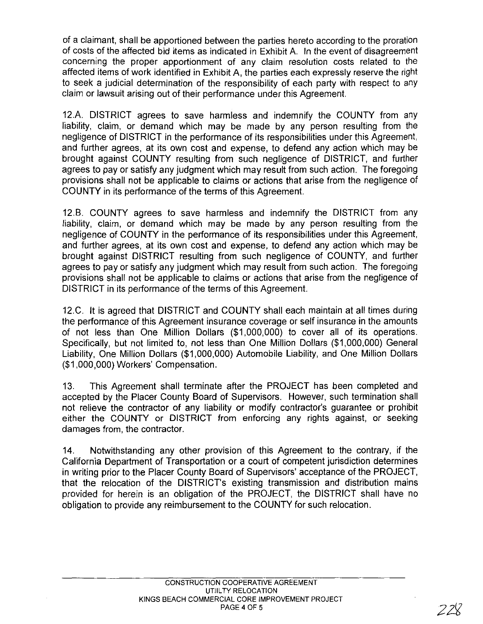of a claimant, shall be apportioned between the parties hereto according to the proration of costs of the affected bid items as indicated in Exhibit A. In the event of disagreement concerning the proper apportionment of any claim resolution costs related to the affected items of work identified in Exhibit A, the parties each expressly reserve the right to seek a judicial determination of the responsibility of each party with respect to any claim or lawsuit arising out of their performance under this Agreement.

12.A. DISTRICT agrees to save harmless and indemnify the COUNTY from any liability, claim, or demand which may be made by any person resulting from the negligence of DISTRICT in the performance of its responsibilities under this Agreement, and further agrees, at its own cost and expense, to defend any action which may be brought against COUNTY resulting from such negligence of DISTRICT, and further agrees to pay or satisfy any judgment which may result from such action. The foregoing provisions shall not be applicable to claims or actions that arise from the negligence of COUNTY in its performance of the terms of this Agreement.

12.B. COUNTY agrees to save harmless and indemnify the DISTRICT from any liability, claim, or demand which may be made by any person resulting from the negligence of COUNTY in the performance of its responsibilities under this Agreement, and further agrees, at its own cost and expense, to defend any action which may be brought against DISTRICT resulting from such negligence of COUNTY, and further agrees to payor satisfy any judgment which may result from such action. The foregoing provisions shall not be applicable to claims or actions that arise from the negligence of DISTRICT in its performance of the terms of this Agreement.

12.C. It is agreed that DISTRICT and COUNTY shall each maintain at all times during the performance of this Agreement insurance coverage or self insurance in the amounts of not less than One Million Dollars (\$1,000,000) to cover all of its operations. Specifically, but not limited to, not less than One Million Dollars (\$1,000,000) General Liability, One Million Dollars (\$1,000,000) Automobile Liability, and One Million Dollars (\$1,000,000) Workers' Compensation.

13. This Agreement shall terminate after the PROJECT has been completed and accepted by the Placer County Board of Supervisors. However, such termination shall not relieve the contractor of any liability or modify contractor's guarantee or prohibit either the COUNTY or DISTRICT from enforcing any rights against, or seeking damages from, the contractor.

14. Notwithstanding any other provision of this Agreement to the contrary, if the California Department of Transportation or a court of competent jurisdiction determines in writing prior to the Placer County Board of Supervisors' acceptance of the PROJECT, that the relocation of the DISTRICT's existing transmission and distribution mains provided for herein is an obligation of the PROJECT, the DISTRICT shall have no obligation to provide any reimbursement to the COUNTY for such relocation.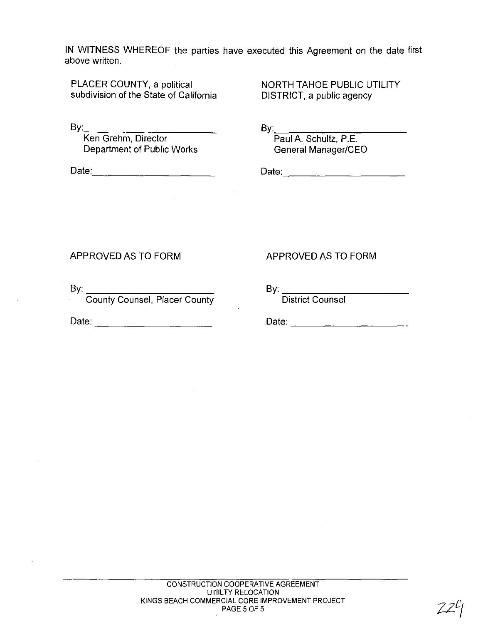**IN** WITNESS WHEREOF the parties have executed this Agreement on the date first above written.

PLACER COUNTY, a political subdivision of the State of California NORTH TAHOE PUBLIC UTILITY DISTRICT, a public agency

By: \_\_\_\_\_\_\_\_\_ \_

Ken Grehm, Director Department of Public Works

Date: \_\_\_\_\_\_\_\_\_ \_

 $By \fbox{\fbox{$\neg$}}$ 

Paul A. Schultz, P.E. General Manager/CEO

Date: \_\_\_\_\_\_\_\_\_ \_

## APPROVED AS TO FORM

By: \_\_\_\_\_\_\_\_\_ \_

County Counsel, Placer County

Date: \_\_\_\_\_\_\_\_\_ \_

## APPROVED AS TO FORM

By: ---,---,---,-\_--,-\_\_\_ \_

District Counsel

Date: \_\_\_\_\_\_\_\_\_ \_

 $22<sup>2</sup>$